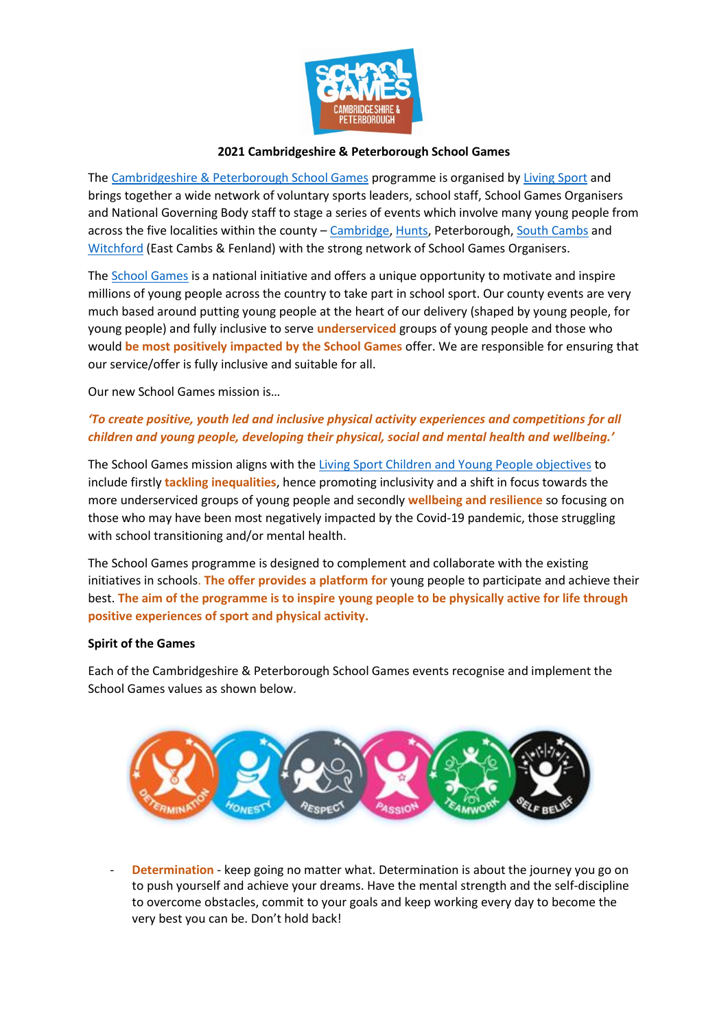

## **2021 Cambridgeshire & Peterborough School Games**

The [Cambridgeshire & Peterborough School Games](https://www.candpschoolgames.co.uk/) programme is organised by [Living Sport](https://www.livingsport.co.uk/) and brings together a wide network of voluntary sports leaders, school staff, School Games Organisers and National Governing Body staff to stage a series of events which involve many young people from across the five localities within the county - [Cambridge,](https://www.cambridgessp.com/) [Hunts,](http://www.huntsssp.org/) Peterborough[, South Cambs](http://www.scssp.co.uk/) and [Witchford](https://www.improveit.education/about-us-2-2/) (East Cambs & Fenland) with the strong network of School Games Organisers.

The [School Games](https://www.yourschoolgames.com/) is a national initiative and offers a unique opportunity to motivate and inspire millions of young people across the country to take part in school sport. Our county events are very much based around putting young people at the heart of our delivery (shaped by young people, for young people) and fully inclusive to serve **underserviced** groups of young people and those who would **be most positively impacted by the School Games** offer. We are responsible for ensuring that our service/offer is fully inclusive and suitable for all.

Our new School Games mission is…

## *'To create positive, youth led and inclusive physical activity experiences and competitions for all children and young people, developing their physical, social and mental health and wellbeing.'*

The School Games mission aligns with the [Living Sport Children and Young People objectives](https://www.livingsport.co.uk/our-work-cyp) to include firstly **tackling inequalities**, hence promoting inclusivity and a shift in focus towards the more underserviced groups of young people and secondly **wellbeing and resilience** so focusing on those who may have been most negatively impacted by the Covid-19 pandemic, those struggling with school transitioning and/or mental health.

The School Games programme is designed to complement and collaborate with the existing initiatives in schools. **The offer provides a platform for** young people to participate and achieve their best. **The aim of the programme is to inspire young people to be physically active for life through positive experiences of sport and physical activity.**

## **Spirit of the Games**

Each of the Cambridgeshire & Peterborough School Games events recognise and implement the School Games values as shown below.



**Determination** - keep going no matter what. Determination is about the journey you go on to push yourself and achieve your dreams. Have the mental strength and the self-discipline to overcome obstacles, commit to your goals and keep working every day to become the very best you can be. Don't hold back!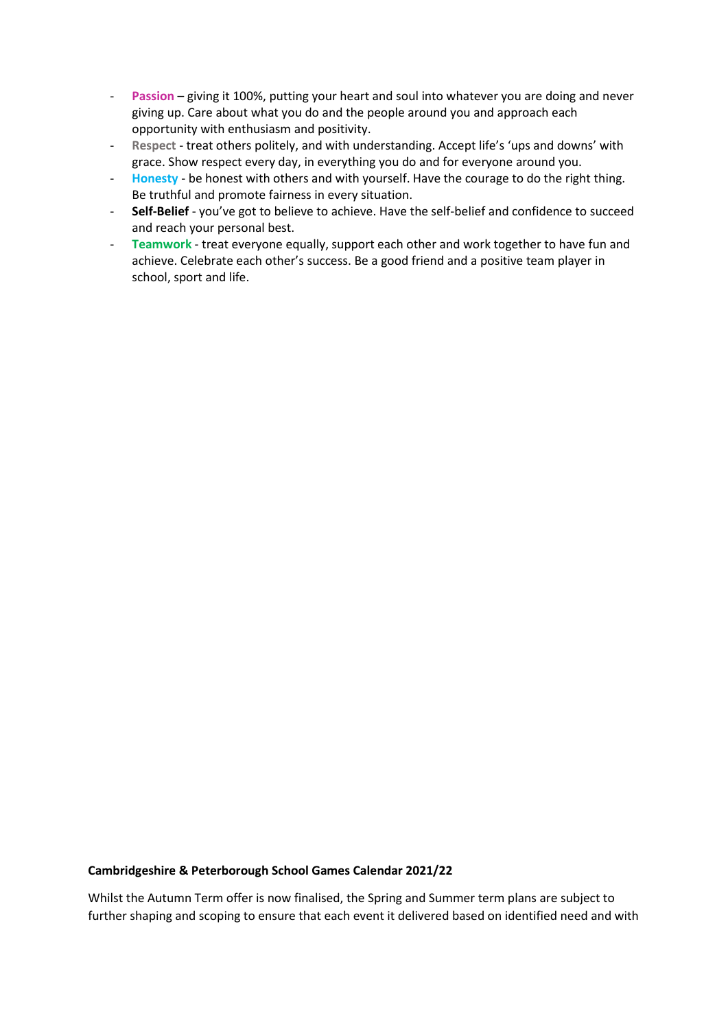- **Passion** giving it 100%, putting your heart and soul into whatever you are doing and never giving up. Care about what you do and the people around you and approach each opportunity with enthusiasm and positivity.
- **Respect** treat others politely, and with understanding. Accept life's 'ups and downs' with grace. Show respect every day, in everything you do and for everyone around you.
- **Honesty** be honest with others and with yourself. Have the courage to do the right thing. Be truthful and promote fairness in every situation.
- **Self-Belief** you've got to believe to achieve. Have the self-belief and confidence to succeed and reach your personal best.
- **Teamwork** treat everyone equally, support each other and work together to have fun and achieve. Celebrate each other's success. Be a good friend and a positive team player in school, sport and life.

## **Cambridgeshire & Peterborough School Games Calendar 2021/22**

Whilst the Autumn Term offer is now finalised, the Spring and Summer term plans are subject to further shaping and scoping to ensure that each event it delivered based on identified need and with